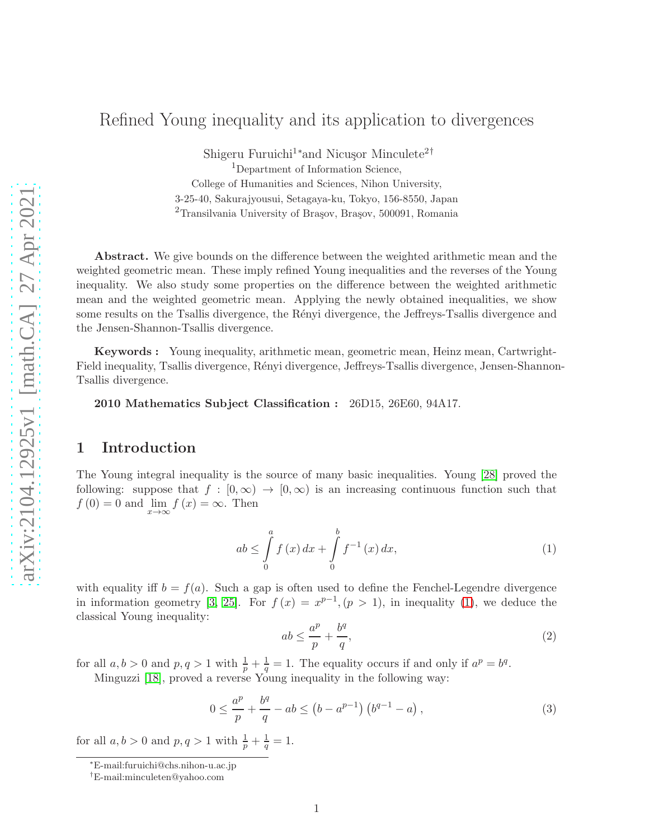# Refined Young inequality and its application to divergences

Shigeru Furuichi<sup>1</sup>\*and Nicusor Minculete<sup>2†</sup> <sup>1</sup>Department of Information Science, College of Humanities and Sciences, Nihon University, 3-25-40, Sakurajyousui, Setagaya-ku, Tokyo, 156-8550, Japan  $2$ Transilvania University of Brasov, Brasov, 500091, Romania

Abstract. We give bounds on the difference between the weighted arithmetic mean and the weighted geometric mean. These imply refined Young inequalities and the reverses of the Young inequality. We also study some properties on the difference between the weighted arithmetic mean and the weighted geometric mean. Applying the newly obtained inequalities, we show some results on the Tsallis divergence, the Rényi divergence, the Jeffreys-Tsallis divergence and the Jensen-Shannon-Tsallis divergence.

Keywords : Young inequality, arithmetic mean, geometric mean, Heinz mean, Cartwright-Field inequality, Tsallis divergence, Rényi divergence, Jeffreys-Tsallis divergence, Jensen-Shannon-Tsallis divergence.

2010 Mathematics Subject Classification : 26D15, 26E60, 94A17.

## 1 Introduction

The Young integral inequality is the source of many basic inequalities. Young [\[28\]](#page-15-0) proved the following: suppose that  $f : [0, \infty) \to [0, \infty)$  is an increasing continuous function such that  $f(0) = 0$  and  $\lim_{x \to \infty} f(x) = \infty$ . Then

<span id="page-0-0"></span>
$$
ab \le \int_{0}^{a} f(x) dx + \int_{0}^{b} f^{-1}(x) dx,
$$
\n(1)

with equality iff  $b = f(a)$ . Such a gap is often used to define the Fenchel-Legendre divergence in information geometry [\[3,](#page-13-0) [25\]](#page-14-0). For  $f(x) = x^{p-1}$ ,  $(p > 1)$ , in inequality [\(1\)](#page-0-0), we deduce the classical Young inequality:

<span id="page-0-1"></span>
$$
ab \le \frac{a^p}{p} + \frac{b^q}{q},\tag{2}
$$

for all  $a, b > 0$  and  $p, q > 1$  with  $\frac{1}{p} + \frac{1}{q} = 1$ . The equality occurs if and only if  $a^p = b^q$ . Minguzzi [\[18\]](#page-14-1), proved a reverse Young inequality in the following way:

<span id="page-0-2"></span>
$$
0 \le \frac{a^p}{p} + \frac{b^q}{q} - ab \le (b - a^{p-1}) \left( b^{q-1} - a \right),\tag{3}
$$

for all  $a, b > 0$  and  $p, q > 1$  with  $\frac{1}{p} + \frac{1}{q}$  $\frac{1}{q} = 1.$ 

<sup>∗</sup>E-mail:furuichi@chs.nihon-u.ac.jp

<sup>†</sup>E-mail:minculeten@yahoo.com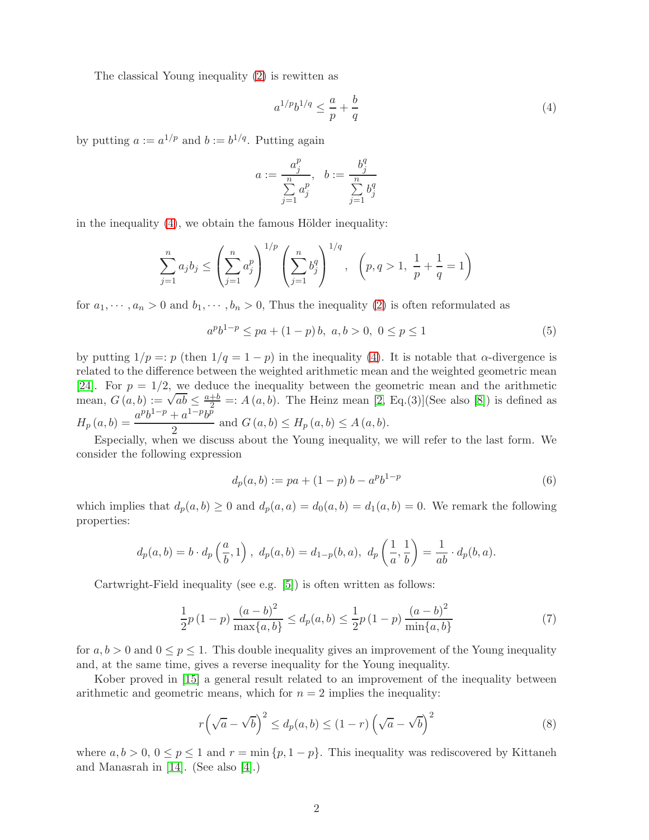The classical Young inequality [\(2\)](#page-0-1) is rewitten as

<span id="page-1-0"></span>
$$
a^{1/p}b^{1/q} \le \frac{a}{p} + \frac{b}{q} \tag{4}
$$

by putting  $a := a^{1/p}$  and  $b := b^{1/q}$ . Putting again

$$
a := \frac{a_j^p}{\sum\limits_{j=1}^n a_j^p}, \quad b := \frac{b_j^q}{\sum\limits_{j=1}^n b_j^q}
$$

in the inequality  $(4)$ , we obtain the famous Hölder inequality:

$$
\sum_{j=1}^{n} a_j b_j \le \left(\sum_{j=1}^{n} a_j^p\right)^{1/p} \left(\sum_{j=1}^{n} b_j^q\right)^{1/q}, \quad \left(p, q > 1, \frac{1}{p} + \frac{1}{q} = 1\right)
$$

for  $a_1, \dots, a_n > 0$  and  $b_1, \dots, b_n > 0$ , Thus the inequality [\(2\)](#page-0-1) is often reformulated as

$$
apb1-p \le pa + (1-p)b, \ a, b > 0, \ 0 \le p \le 1
$$
 (5)

by putting  $1/p =: p$  (then  $1/q = 1 - p$ ) in the inequality [\(4\)](#page-1-0). It is notable that  $\alpha$ -divergence is related to the difference between the weighted arithmetic mean and the weighted geometric mean [\[24\]](#page-14-2). For  $p = 1/2$ , we deduce the inequality between the geometric mean and the arithmetic mean,  $G(a, b) := \sqrt{ab} \le \frac{a+b}{2} =: A(a, b)$ . The Heinz mean [\[2,](#page-13-1) Eq.(3)](See also [\[8\]](#page-14-3)) is defined as  $H_p(a, b) = \frac{a^p b^{1-p} + a^{1-p} b^p}{2}$  $\frac{a}{2}$  and  $G(a, b) \leq H_p(a, b) \leq A(a, b)$ .

Especially, when we discuss about the Young inequality, we will refer to the last form. We consider the following expression

<span id="page-1-2"></span>
$$
d_p(a, b) := pa + (1 - p)b - a^p b^{1 - p}
$$
\n(6)

which implies that  $d_p(a, b) \ge 0$  and  $d_p(a, a) = d_0(a, b) = d_1(a, b) = 0$ . We remark the following properties:

$$
d_p(a, b) = b \cdot d_p\left(\frac{a}{b}, 1\right), d_p(a, b) = d_{1-p}(b, a), d_p\left(\frac{1}{a}, \frac{1}{b}\right) = \frac{1}{ab} \cdot d_p(b, a).
$$

Cartwright-Field inequality (see e.g. [\[5\]](#page-13-2)) is often written as follows:

<span id="page-1-3"></span>
$$
\frac{1}{2}p(1-p)\frac{(a-b)^2}{\max\{a,b\}} \le d_p(a,b) \le \frac{1}{2}p(1-p)\frac{(a-b)^2}{\min\{a,b\}}\tag{7}
$$

for  $a, b > 0$  and  $0 \le p \le 1$ . This double inequality gives an improvement of the Young inequality and, at the same time, gives a reverse inequality for the Young inequality.

Kober proved in [\[15\]](#page-14-4) a general result related to an improvement of the inequality between arithmetic and geometric means, which for  $n = 2$  implies the inequality:

<span id="page-1-1"></span>
$$
r\left(\sqrt{a}-\sqrt{b}\right)^2 \le d_p(a,b) \le (1-r)\left(\sqrt{a}-\sqrt{b}\right)^2\tag{8}
$$

where  $a, b > 0, 0 \le p \le 1$  and  $r = \min \{p, 1 - p\}$ . This inequality was rediscovered by Kittaneh and Manasrah in [\[14\]](#page-14-5). (See also [\[4\]](#page-13-3).)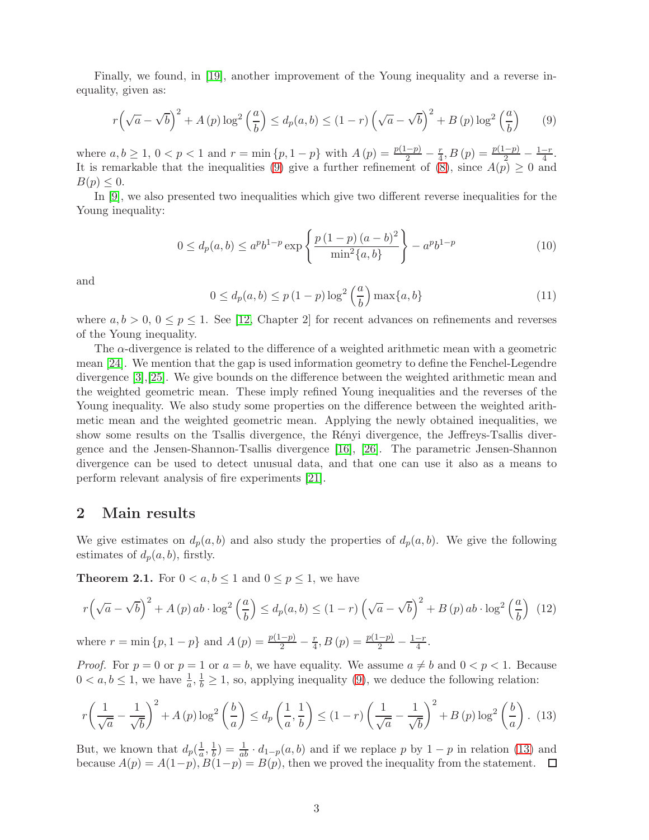Finally, we found, in [\[19\]](#page-14-6), another improvement of the Young inequality and a reverse inequality, given as:

<span id="page-2-0"></span>
$$
r\left(\sqrt{a}-\sqrt{b}\right)^2 + A\left(p\right)\log^2\left(\frac{a}{b}\right) \le d_p(a,b) \le (1-r)\left(\sqrt{a}-\sqrt{b}\right)^2 + B\left(p\right)\log^2\left(\frac{a}{b}\right) \tag{9}
$$

where  $a, b \ge 1, 0 < p < 1$  and  $r = \min\{p, 1 - p\}$  with  $A(p) = \frac{p(1-p)}{2} - \frac{r}{4}$  $\frac{r}{4}$ ,  $B(p) = \frac{p(1-p)}{2} - \frac{1-r}{4}$  $\frac{-r}{4}$ . It is remarkable that the inequalities [\(9\)](#page-2-0) give a further refinement of [\(8\)](#page-1-1), since  $A(p) \geq 0$  and  $B(p) \leq 0.$ 

In [\[9\]](#page-14-7), we also presented two inequalities which give two different reverse inequalities for the Young inequality:

$$
0 \le d_p(a, b) \le a^p b^{1-p} \exp\left\{\frac{p(1-p)(a-b)^2}{\min^2\{a, b\}}\right\} - a^p b^{1-p}
$$
(10)

and

$$
0 \le d_p(a, b) \le p\left(1 - p\right) \log^2\left(\frac{a}{b}\right) \max\{a, b\} \tag{11}
$$

where  $a, b > 0, 0 \le p \le 1$ . See [\[12,](#page-14-8) Chapter 2] for recent advances on refinements and reverses of the Young inequality.

The  $\alpha$ -divergence is related to the difference of a weighted arithmetic mean with a geometric mean [\[24\]](#page-14-2). We mention that the gap is used information geometry to define the Fenchel-Legendre divergence [\[3\]](#page-13-0),[\[25\]](#page-14-0). We give bounds on the difference between the weighted arithmetic mean and the weighted geometric mean. These imply refined Young inequalities and the reverses of the Young inequality. We also study some properties on the difference between the weighted arithmetic mean and the weighted geometric mean. Applying the newly obtained inequalities, we show some results on the Tsallis divergence, the Rényi divergence, the Jeffreys-Tsallis divergence and the Jensen-Shannon-Tsallis divergence [\[16\]](#page-14-9), [\[26\]](#page-14-10). The parametric Jensen-Shannon divergence can be used to detect unusual data, and that one can use it also as a means to perform relevant analysis of fire experiments [\[21\]](#page-14-11).

#### 2 Main results

We give estimates on  $d_p(a, b)$  and also study the properties of  $d_p(a, b)$ . We give the following estimates of  $d_p(a, b)$ , firstly.

<span id="page-2-2"></span>**Theorem 2.1.** For  $0 < a, b \le 1$  and  $0 \le p \le 1$ , we have

<span id="page-2-3"></span>
$$
r\left(\sqrt{a}-\sqrt{b}\right)^2 + A\left(p\right)ab \cdot \log^2\left(\frac{a}{b}\right) \le d_p(a,b) \le (1-r)\left(\sqrt{a}-\sqrt{b}\right)^2 + B\left(p\right)ab \cdot \log^2\left(\frac{a}{b}\right) \tag{12}
$$
\n
$$
\text{where } r = \min\left\{p, 1-p\right\} \text{ and } A\left(p\right) = \frac{p(1-p)}{2} - \frac{r}{4}, B\left(p\right) = \frac{p(1-p)}{2} - \frac{1-r}{4}.
$$

*Proof.* For  $p = 0$  or  $p = 1$  or  $a = b$ , we have equality. We assume  $a \neq b$  and  $0 < p < 1$ . Because  $0 < a, b \le 1$ , we have  $\frac{1}{a}, \frac{1}{b} \ge 1$ , so, applying inequality [\(9\)](#page-2-0), we deduce the following relation:

<span id="page-2-1"></span>
$$
r\left(\frac{1}{\sqrt{a}}-\frac{1}{\sqrt{b}}\right)^2 + A\left(p\right)\log^2\left(\frac{b}{a}\right) \le d_p\left(\frac{1}{a},\frac{1}{b}\right) \le \left(1-r\right)\left(\frac{1}{\sqrt{a}}-\frac{1}{\sqrt{b}}\right)^2 + B\left(p\right)\log^2\left(\frac{b}{a}\right). \tag{13}
$$

But, we known that  $d_p(\frac{1}{a})$  $\frac{1}{a}, \frac{1}{b}$  $\frac{1}{b}$ ) =  $\frac{1}{ab} \cdot d_{1-p}(a, b)$  and if we replace p by 1 – p in relation [\(13\)](#page-2-1) and because  $A(p) = A(1-p), B(1-p) = B(p)$ , then we proved the inequality from the statement.  $\square$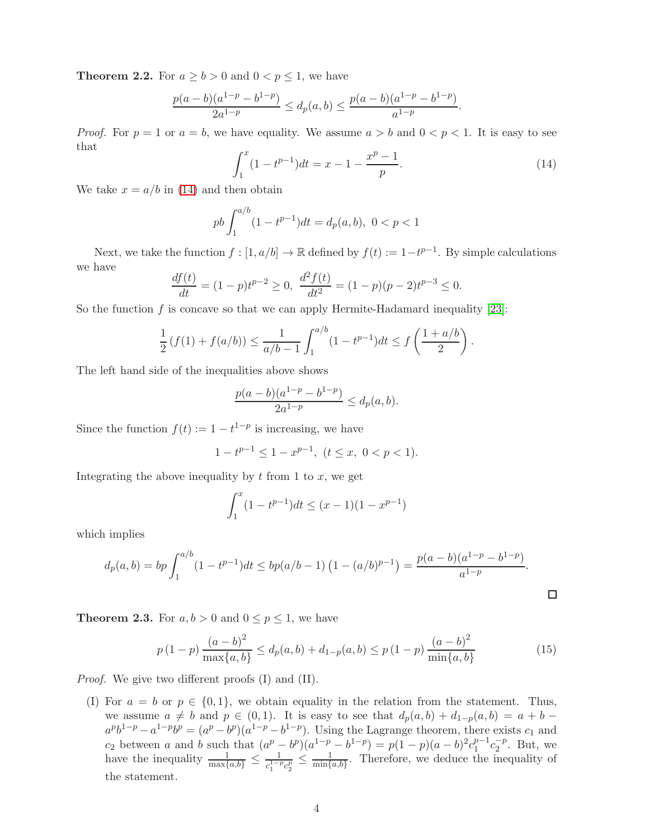<span id="page-3-2"></span>**Theorem 2.2.** For  $a \ge b > 0$  and  $0 < p \le 1$ , we have

$$
\frac{p(a-b)(a^{1-p}-b^{1-p})}{2a^{1-p}} \le d_p(a,b) \le \frac{p(a-b)(a^{1-p}-b^{1-p})}{a^{1-p}}.
$$

*Proof.* For  $p = 1$  or  $a = b$ , we have equality. We assume  $a > b$  and  $0 < p < 1$ . It is easy to see that

<span id="page-3-0"></span>
$$
\int_{1}^{x} (1 - t^{p-1}) dt = x - 1 - \frac{x^p - 1}{p}.
$$
\n(14)

We take  $x = a/b$  in [\(14\)](#page-3-0) and then obtain

$$
pb \int_1^{a/b} (1 - t^{p-1}) dt = d_p(a, b), \ 0 < p < 1
$$

Next, we take the function  $f : [1, a/b] \to \mathbb{R}$  defined by  $f(t) := 1 - t^{p-1}$ . By simple calculations we have

$$
\frac{df(t)}{dt} = (1-p)t^{p-2} \ge 0, \ \frac{d^2f(t)}{dt^2} = (1-p)(p-2)t^{p-3} \le 0.
$$

So the function  $f$  is concave so that we can apply Hermite-Hadamard inequality [\[23\]](#page-14-12):

$$
\frac{1}{2}(f(1) + f(a/b)) \le \frac{1}{a/b - 1} \int_1^{a/b} (1 - t^{p-1}) dt \le f\left(\frac{1 + a/b}{2}\right).
$$

The left hand side of the inequalities above shows

$$
\frac{p(a-b)(a^{1-p}-b^{1-p})}{2a^{1-p}} \le d_p(a,b).
$$

Since the function  $f(t) := 1 - t^{1-p}$  is increasing, we have

 $1 - t^{p-1} \leq 1 - x^{p-1}, \ (t \leq x, \ 0 < p < 1).$ 

Integrating the above inequality by  $t$  from 1 to  $x$ , we get

$$
\int_{1}^{x} (1 - t^{p-1}) dt \le (x - 1)(1 - x^{p-1})
$$

which implies

$$
d_p(a,b) = bp \int_1^{a/b} (1 - t^{p-1}) dt \le bp(a/b - 1) \left(1 - (a/b)^{p-1}\right) = \frac{p(a-b)(a^{1-p} - b^{1-p})}{a^{1-p}}.
$$

<span id="page-3-1"></span>**Theorem 2.3.** For  $a, b > 0$  and  $0 \le p \le 1$ , we have

<span id="page-3-3"></span>
$$
p(1-p)\frac{(a-b)^2}{\max\{a,b\}} \le d_p(a,b) + d_{1-p}(a,b) \le p(1-p)\frac{(a-b)^2}{\min\{a,b\}}\tag{15}
$$

 $\Box$ 

*Proof.* We give two different proofs (I) and (II).

(I) For  $a = b$  or  $p \in \{0, 1\}$ , we obtain equality in the relation from the statement. Thus, we assume  $a \neq b$  and  $p \in (0, 1)$ . It is easy to see that  $d_p(a, b) + d_{1-p}(a, b) = a + b$  $a^p b^{1-p} - a^{1-p} b^p = (a^p - b^p)(a^{1-p} - b^{1-p})$ . Using the Lagrange theorem, there exists  $c_1$  and c<sub>2</sub> between a and b such that  $(a^p - b^p)(a^{1-p} - b^{1-p}) = p(1-p)(a-b)^2c_1^{p-1}$  $_1^{p-1}c_2^{-p}$  $_2^{-p}$ . But, we have the inequality  $\frac{1}{\max\{a,b\}} \leq \frac{1}{c_*^{1-\frac{1}{2}}}$  $\frac{1}{c_1^{1-p}c_2^p} \leq \frac{1}{\min\{p}$  $\frac{1}{\min\{a,b\}}$ . Therefore, we deduce the inequality of the statement.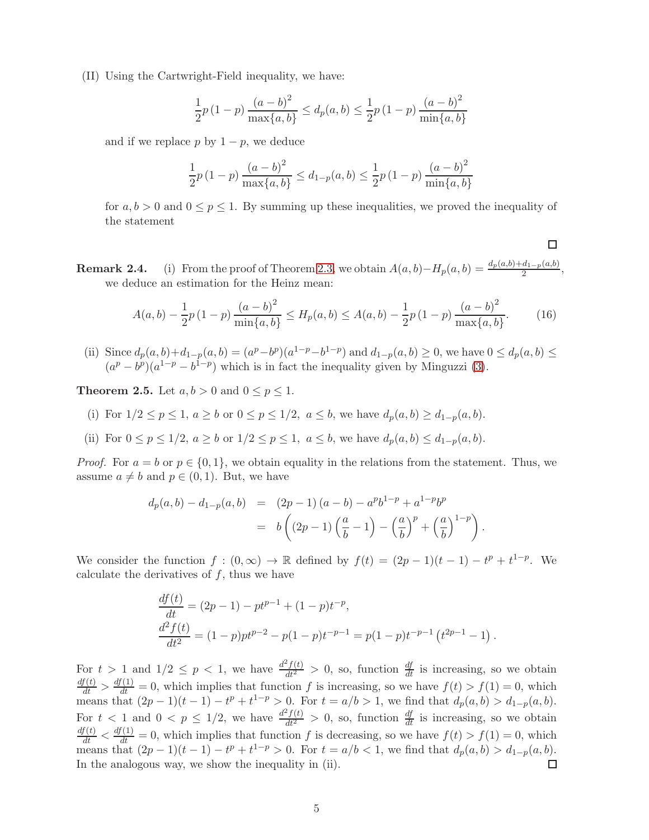(II) Using the Cartwright-Field inequality, we have:

$$
\frac{1}{2}p(1-p)\frac{(a-b)^2}{\max\{a,b\}} \le d_p(a,b) \le \frac{1}{2}p(1-p)\frac{(a-b)^2}{\min\{a,b\}}
$$

and if we replace p by  $1 - p$ , we deduce

$$
\frac{1}{2}p(1-p)\frac{(a-b)^2}{\max\{a,b\}} \le d_{1-p}(a,b) \le \frac{1}{2}p(1-p)\frac{(a-b)^2}{\min\{a,b\}}
$$

for  $a, b > 0$  and  $0 \le p \le 1$ . By summing up these inequalities, we proved the inequality of the statement

**Remark 2.4.** (i) From the proof of Theorem [2.3,](#page-3-1) we obtain  $A(a, b) - H_p(a, b) = \frac{d_p(a, b) + d_{1-p}(a, b)}{2}$ , we deduce an estimation for the Heinz mean:

$$
A(a,b) - \frac{1}{2}p(1-p)\frac{(a-b)^2}{\min\{a,b\}} \le H_p(a,b) \le A(a,b) - \frac{1}{2}p(1-p)\frac{(a-b)^2}{\max\{a,b\}}.\tag{16}
$$

 $\Box$ 

(ii) Since  $d_p(a, b) + d_{1-p}(a, b) = (a^p - b^p)(a^{1-p} - b^{1-p})$  and  $d_{1-p}(a, b) \ge 0$ , we have  $0 \le d_p(a, b) \le 0$  $(a^p - b^p)(a^{1-p} - b^{1-p})$  which is in fact the inequality given by Minguzzi [\(3\)](#page-0-2).

<span id="page-4-0"></span>**Theorem 2.5.** Let  $a, b > 0$  and  $0 \leq p \leq 1$ .

- (i) For  $1/2 \le p \le 1$ ,  $a \ge b$  or  $0 \le p \le 1/2$ ,  $a \le b$ , we have  $d_p(a, b) \ge d_{1-p}(a, b)$ .
- (ii) For  $0 \le p \le 1/2$ ,  $a \ge b$  or  $1/2 \le p \le 1$ ,  $a \le b$ , we have  $d_n(a, b) \le d_{1-n}(a, b)$ .

*Proof.* For  $a = b$  or  $p \in \{0, 1\}$ , we obtain equality in the relations from the statement. Thus, we assume  $a \neq b$  and  $p \in (0, 1)$ . But, we have

$$
d_p(a,b) - d_{1-p}(a,b) = (2p - 1) (a - b) - a^p b^{1-p} + a^{1-p} b^p
$$
  
=  $b \left( (2p - 1) \left( \frac{a}{b} - 1 \right) - \left( \frac{a}{b} \right)^p + \left( \frac{a}{b} \right)^{1-p} \right).$ 

We consider the function  $f:(0,\infty) \to \mathbb{R}$  defined by  $f(t) = (2p-1)(t-1) - t^p + t^{1-p}$ . We calculate the derivatives of  $f$ , thus we have

$$
\frac{df(t)}{dt} = (2p - 1) - pt^{p-1} + (1 - p)t^{-p},
$$
\n
$$
\frac{d^2 f(t)}{dt^2} = (1 - p)pt^{p-2} - p(1 - p)t^{-p-1} = p(1 - p)t^{-p-1} (t^{2p-1} - 1).
$$

For  $t > 1$  and  $1/2 \le p < 1$ , we have  $\frac{d^2f(t)}{dt^2} > 0$ , so, function  $\frac{df}{dt}$  is increasing, so we obtain  $\frac{df(t)}{dt} > \frac{df(1)}{dt} = 0$ , which implies that function f is increasing, so we have  $f(t) > f(1) = 0$ , which means that  $(2p-1)(t-1) - t^p + t^{1-p} > 0$ . For  $t = a/b > 1$ , we find that  $d_p(a, b) > d_{1-p}(a, b)$ . For  $t < 1$  and  $0 < p \le 1/2$ , we have  $\frac{d^2f(t)}{dt^2} > 0$ , so, function  $\frac{df}{dt}$  is increasing, so we obtain  $\frac{df(t)}{dt} < \frac{df(1)}{dt} = 0$ , which implies that function f is decreasing, so we have  $f(t) > f(1) = 0$ , which means that  $(2p-1)(t-1) - t^p + t^{1-p} > 0$ . For  $t = a/b < 1$ , we find that  $d_p(a, b) > d_{1-p}(a, b)$ . In the analogous way, we show the inequality in (ii).  $\Box$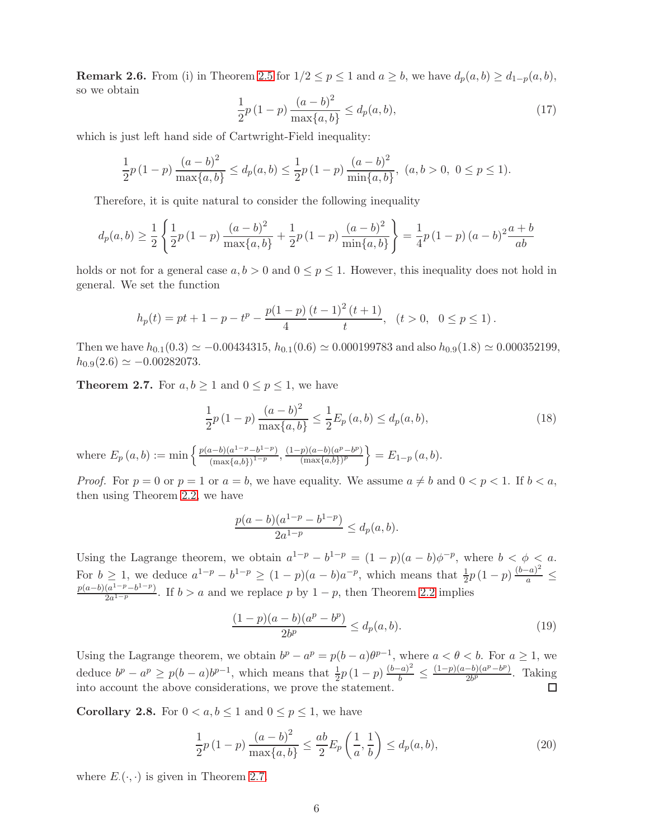**Remark 2.6.** From (i) in Theorem [2.5](#page-4-0) for  $1/2 \le p \le 1$  and  $a \ge b$ , we have  $d_p(a, b) \ge d_{1-p}(a, b)$ , so we obtain

$$
\frac{1}{2}p(1-p)\frac{(a-b)^2}{\max\{a,b\}} \le d_p(a,b),\tag{17}
$$

which is just left hand side of Cartwright-Field inequality:

$$
\frac{1}{2}p(1-p)\frac{(a-b)^2}{\max\{a,b\}} \le d_p(a,b) \le \frac{1}{2}p(1-p)\frac{(a-b)^2}{\min\{a,b\}},\ (a,b>0,\ 0\le p\le 1).
$$

Therefore, it is quite natural to consider the following inequality

$$
d_p(a,b) \ge \frac{1}{2} \left\{ \frac{1}{2} p \left( 1 - p \right) \frac{\left( a - b \right)^2}{\max\{a,b\}} + \frac{1}{2} p \left( 1 - p \right) \frac{\left( a - b \right)^2}{\min\{a,b\}} \right\} = \frac{1}{4} p \left( 1 - p \right) (a - b)^2 \frac{a + b}{ab}
$$

holds or not for a general case  $a, b > 0$  and  $0 \le p \le 1$ . However, this inequality does not hold in general. We set the function

$$
h_p(t) = pt + 1 - p - t^p - \frac{p(1-p)}{4} \frac{(t-1)^2 (t+1)}{t}, \quad (t > 0, \quad 0 \le p \le 1).
$$

Then we have  $h_{0.1}(0.3) \simeq -0.00434315$ ,  $h_{0.1}(0.6) \simeq 0.000199783$  and also  $h_{0.9}(1.8) \simeq 0.000352199$ ,  $h_{0.9}(2.6) \simeq -0.00282073.$ 

<span id="page-5-0"></span>**Theorem 2.7.** For  $a, b \ge 1$  and  $0 \le p \le 1$ , we have

<span id="page-5-1"></span>
$$
\frac{1}{2}p(1-p)\frac{(a-b)^2}{\max\{a,b\}} \le \frac{1}{2}E_p(a,b) \le d_p(a,b),\tag{18}
$$

where  $E_p(a, b) := \min \left\{ \frac{p(a-b)(a^{1-p}-b^{1-p})}{(\max\{a, b\})^{1-p}} \right\}$  $\frac{(n-b)(a^{1-p}-b^{1-p})}{(\max\{a,b\})^{1-p}}, \frac{(1-p)(a-b)(a^p-b^p)}{(\max\{a,b\})^p}$  $\frac{p(a-b)(a^p-b^p)}{(\max\{a,b\})^p} = E_{1-p}(a,b).$ 

*Proof.* For  $p = 0$  or  $p = 1$  or  $a = b$ , we have equality. We assume  $a \neq b$  and  $0 < p < 1$ . If  $b < a$ , then using Theorem [2.2,](#page-3-2) we have

$$
\frac{p(a-b)(a^{1-p}-b^{1-p})}{2a^{1-p}} \le d_p(a,b).
$$

Using the Lagrange theorem, we obtain  $a^{1-p} - b^{1-p} = (1-p)(a-b)\phi^{-p}$ , where  $b < \phi < a$ . For  $b \ge 1$ , we deduce  $a^{1-p} - b^{1-p} \ge (1-p)(a-b)a^{-p}$ , which means that  $\frac{1}{2}p(1-p)\frac{(b-a)^2}{a}$  $\frac{a}{a} \leq$  $p(a-b)(a^{1-p}-b^{1-p})$  $\frac{(a^2 - p - b^2)}{2a^{1-p}}$ . If  $b > a$  and we replace p by  $1 - p$ , then Theorem [2.2](#page-3-2) implies

$$
\frac{(1-p)(a-b)(a^p - b^p)}{2b^p} \le d_p(a, b).
$$
\n(19)

Using the Lagrange theorem, we obtain  $b^p - a^p = p(b-a)\theta^{p-1}$ , where  $a < \theta < b$ . For  $a \ge 1$ , we deduce  $b^p - a^p \ge p(b-a)b^{p-1}$ , which means that  $\frac{1}{2}p(1-p)\frac{(b-a)^2}{b}$  $\frac{(a-b)^2}{b} \leq \frac{(1-p)(a-b)(a^p-b^p)}{2b^p}$  $\frac{-v(1)^{a^2 - b^2}}{2b^p}$ . Taking into account the above considerations, we prove the statement.  $\Box$ 

**Corollary 2.8.** For  $0 < a, b \le 1$  and  $0 \le p \le 1$ , we have

<span id="page-5-2"></span>
$$
\frac{1}{2}p(1-p)\frac{(a-b)^2}{\max\{a,b\}} \le \frac{ab}{2}E_p\left(\frac{1}{a},\frac{1}{b}\right) \le d_p(a,b),\tag{20}
$$

where  $E_{\cdot}(\cdot, \cdot)$  is given in Theorem [2.7.](#page-5-0)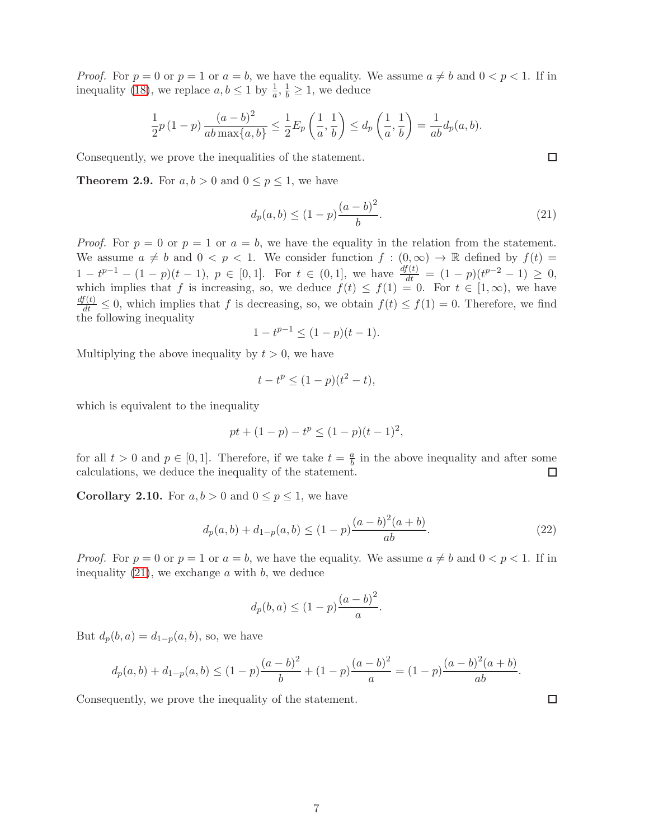*Proof.* For  $p = 0$  or  $p = 1$  or  $a = b$ , we have the equality. We assume  $a \neq b$  and  $0 < p < 1$ . If in inequality [\(18\)](#page-5-1), we replace  $a, b \leq 1$  by  $\frac{1}{a}, \frac{1}{b} \geq 1$ , we deduce

$$
\frac{1}{2}p(1-p)\frac{(a-b)^2}{ab\max\{a,b\}} \le \frac{1}{2}E_p\left(\frac{1}{a},\frac{1}{b}\right) \le d_p\left(\frac{1}{a},\frac{1}{b}\right) = \frac{1}{ab}d_p(a,b).
$$

Consequently, we prove the inequalities of the statement.

**Theorem 2.9.** For  $a, b > 0$  and  $0 \leq p \leq 1$ , we have

<span id="page-6-0"></span>
$$
d_p(a, b) \le (1 - p) \frac{(a - b)^2}{b}.
$$
\n(21)

*Proof.* For  $p = 0$  or  $p = 1$  or  $a = b$ , we have the equality in the relation from the statement. We assume  $a \neq b$  and  $0 < p < 1$ . We consider function  $f : (0, \infty) \to \mathbb{R}$  defined by  $f(t) =$  $1-t^{p-1}-(1-p)(t-1), p \in [0,1].$  For  $t \in (0,1],$  we have  $\frac{df(t)}{dt}=(1-p)(t^{p-2}-1) \geq 0,$ which implies that f is increasing, so, we deduce  $f(t) \leq f(1) = 0$ . For  $t \in [1, \infty)$ , we have  $\frac{df(t)}{dt} \leq 0$ , which implies that f is decreasing, so, we obtain  $f(t) \leq f(1) = 0$ . Therefore, we find the following inequality

$$
1 - t^{p-1} \le (1 - p)(t - 1).
$$

Multiplying the above inequality by  $t > 0$ , we have

$$
t - t^p \le (1 - p)(t^2 - t),
$$

which is equivalent to the inequality

$$
pt + (1 - p) - tp \le (1 - p)(t - 1)2,
$$

for all  $t > 0$  and  $p \in [0, 1]$ . Therefore, if we take  $t = \frac{a}{b}$  $\frac{a}{b}$  in the above inequality and after some calculations, we deduce the inequality of the statement.  $\Box$ 

<span id="page-6-1"></span>**Corollary 2.10.** For  $a, b > 0$  and  $0 \leq p \leq 1$ , we have

<span id="page-6-2"></span>
$$
d_p(a,b) + d_{1-p}(a,b) \le (1-p)\frac{(a-b)^2(a+b)}{ab}.
$$
\n(22)

*Proof.* For  $p = 0$  or  $p = 1$  or  $a = b$ , we have the equality. We assume  $a \neq b$  and  $0 < p < 1$ . If in inequality  $(21)$ , we exchange a with b, we deduce

$$
d_p(b, a) \le (1 - p) \frac{(a - b)^2}{a}.
$$

But  $d_p(b, a) = d_{1-p}(a, b)$ , so, we have

$$
d_p(a,b) + d_{1-p}(a,b) \le (1-p)\frac{(a-b)^2}{b} + (1-p)\frac{(a-b)^2}{a} = (1-p)\frac{(a-b)^2(a+b)}{ab}.
$$

Consequently, we prove the inequality of the statement.

 $\Box$ 

 $\Box$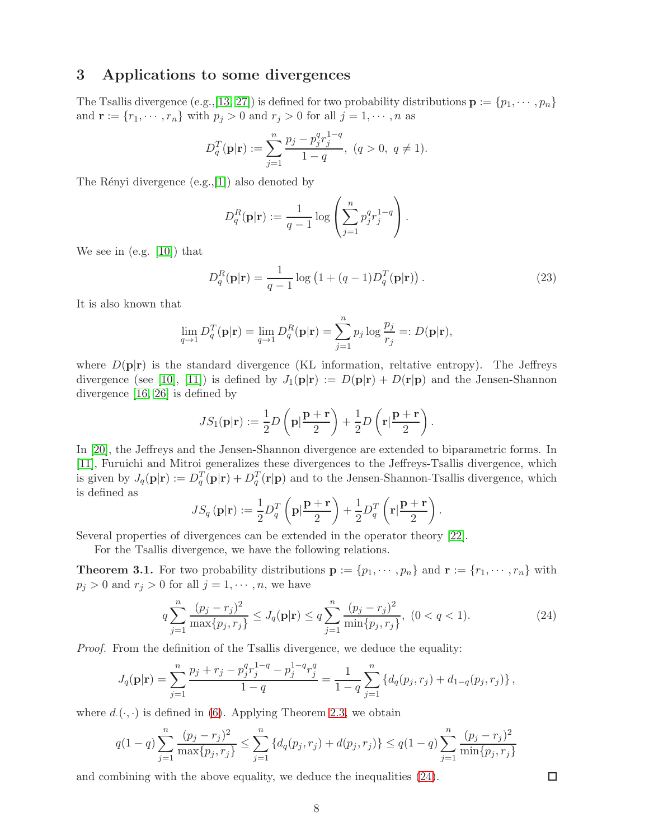# 3 Applications to some divergences

The Tsallis divergence (e.g., [\[13,](#page-14-13) [27\]](#page-15-1)) is defined for two probability distributions  $\mathbf{p} := \{p_1, \dots, p_n\}$ and  $\mathbf{r} := \{r_1, \dots, r_n\}$  with  $p_j > 0$  and  $r_j > 0$  for all  $j = 1, \dots, n$  as

$$
D_q^T(\mathbf{p}|\mathbf{r}) := \sum_{j=1}^n \frac{p_j - p_j^q r_j^{1-q}}{1-q}, \ (q > 0, \ q \neq 1).
$$

The Rényi divergence  $(e.g.,[1])$  $(e.g.,[1])$  $(e.g.,[1])$  also denoted by

$$
D_q^R(\mathbf{p}|\mathbf{r}) := \frac{1}{q-1} \log \left( \sum_{j=1}^n p_j^q r_j^{1-q} \right).
$$

We see in (e.g. [\[10\]](#page-14-14)) that

<span id="page-7-1"></span>
$$
D_q^R(\mathbf{p}|\mathbf{r}) = \frac{1}{q-1} \log \left( 1 + (q-1)D_q^T(\mathbf{p}|\mathbf{r}) \right).
$$
 (23)

It is also known that

$$
\lim_{q \to 1} D_q^T(\mathbf{p}|\mathbf{r}) = \lim_{q \to 1} D_q^R(\mathbf{p}|\mathbf{r}) = \sum_{j=1}^n p_j \log \frac{p_j}{r_j} =: D(\mathbf{p}|\mathbf{r}),
$$

where  $D(\mathbf{p}|\mathbf{r})$  is the standard divergence (KL information, reltative entropy). The Jeffreys divergence (see [\[10\]](#page-14-14), [\[11\]](#page-14-15)) is defined by  $J_1(\mathbf{p}|\mathbf{r}) := D(\mathbf{p}|\mathbf{r}) + D(\mathbf{r}|\mathbf{p})$  and the Jensen-Shannon divergence [\[16,](#page-14-9) [26\]](#page-14-10) is defined by

$$
JS_1(\mathbf{p}|\mathbf{r}) := \frac{1}{2}D\left(\mathbf{p}|\frac{\mathbf{p}+\mathbf{r}}{2}\right) + \frac{1}{2}D\left(\mathbf{r}|\frac{\mathbf{p}+\mathbf{r}}{2}\right).
$$

In [\[20\]](#page-14-16), the Jeffreys and the Jensen-Shannon divergence are extended to biparametric forms. In [\[11\]](#page-14-15), Furuichi and Mitroi generalizes these divergences to the Jeffreys-Tsallis divergence, which is given by  $J_q(\mathbf{p}|\mathbf{r}) := D_q^T(\mathbf{p}|\mathbf{r}) + D_q^T(\mathbf{r}|\mathbf{p})$  and to the Jensen-Shannon-Tsallis divergence, which is defined as

$$
JS_q(\mathbf{p}|\mathbf{r}) := \frac{1}{2}D_q^T\left(\mathbf{p}|\frac{\mathbf{p}+\mathbf{r}}{2}\right) + \frac{1}{2}D_q^T\left(\mathbf{r}|\frac{\mathbf{p}+\mathbf{r}}{2}\right).
$$

Several properties of divergences can be extended in the operator theory [\[22\]](#page-14-17).

For the Tsallis divergence, we have the following relations.

<span id="page-7-2"></span>**Theorem 3.1.** For two probability distributions  $\mathbf{p} := \{p_1, \dots, p_n\}$  and  $\mathbf{r} := \{r_1, \dots, r_n\}$  with  $p_j > 0$  and  $r_j > 0$  for all  $j = 1, \dots, n$ , we have

<span id="page-7-0"></span>
$$
q\sum_{j=1}^{n}\frac{(p_j - r_j)^2}{\max\{p_j, r_j\}} \le J_q(\mathbf{p}|\mathbf{r}) \le q\sum_{j=1}^{n}\frac{(p_j - r_j)^2}{\min\{p_j, r_j\}}, \ (0 < q < 1). \tag{24}
$$

Proof. From the definition of the Tsallis divergence, we deduce the equality:

$$
J_q(\mathbf{p}|\mathbf{r}) = \sum_{j=1}^n \frac{p_j + r_j - p_j^q r_j^{1-q} - p_j^{1-q} r_j^q}{1-q} = \frac{1}{1-q} \sum_{j=1}^n \left\{ d_q(p_j, r_j) + d_{1-q}(p_j, r_j) \right\},\,
$$

where  $d.(\cdot, \cdot)$  is defined in [\(6\)](#page-1-2). Applying Theorem [2.3,](#page-3-1) we obtain

$$
q(1-q)\sum_{j=1}^{n}\frac{(p_j-r_j)^2}{\max\{p_j,r_j\}} \le \sum_{j=1}^{n} \left\{d_q(p_j,r_j) + d(p_j,r_j)\right\} \le q(1-q)\sum_{j=1}^{n}\frac{(p_j-r_j)^2}{\min\{p_j,r_j\}}
$$

and combining with the above equality, we deduce the inequalities [\(24\)](#page-7-0).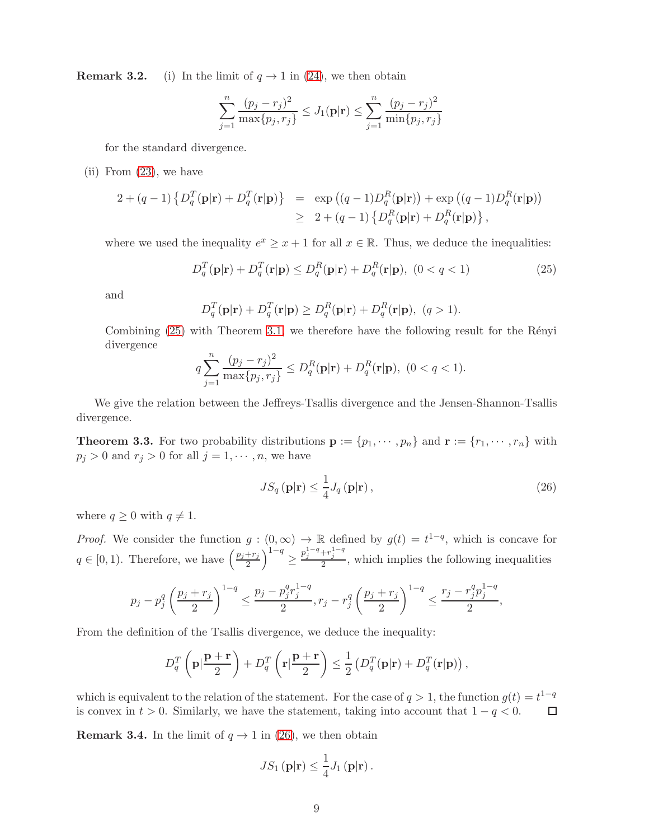**Remark 3.2.** (i) In the limit of  $q \to 1$  in [\(24\)](#page-7-0), we then obtain

$$
\sum_{j=1}^{n} \frac{(p_j - r_j)^2}{\max\{p_j, r_j\}} \le J_1(\mathbf{p}|\mathbf{r}) \le \sum_{j=1}^{n} \frac{(p_j - r_j)^2}{\min\{p_j, r_j\}}
$$

for the standard divergence.

(ii) From [\(23\)](#page-7-1), we have

$$
2 + (q - 1) \left\{ D_q^T(\mathbf{p}|\mathbf{r}) + D_q^T(\mathbf{r}|\mathbf{p}) \right\} = \exp \left( (q - 1) D_q^R(\mathbf{p}|\mathbf{r}) \right) + \exp \left( (q - 1) D_q^R(\mathbf{r}|\mathbf{p}) \right)
$$
  

$$
\geq 2 + (q - 1) \left\{ D_q^R(\mathbf{p}|\mathbf{r}) + D_q^R(\mathbf{r}|\mathbf{p}) \right\},
$$

where we used the inequality  $e^x \geq x+1$  for all  $x \in \mathbb{R}$ . Thus, we deduce the inequalities:

<span id="page-8-0"></span>
$$
D_q^T(\mathbf{p}|\mathbf{r}) + D_q^T(\mathbf{r}|\mathbf{p}) \le D_q^R(\mathbf{p}|\mathbf{r}) + D_q^R(\mathbf{r}|\mathbf{p}), \ (0 < q < 1)
$$
\n(25)

and

$$
D_q^T(\mathbf{p}|\mathbf{r}) + D_q^T(\mathbf{r}|\mathbf{p}) \ge D_q^R(\mathbf{p}|\mathbf{r}) + D_q^R(\mathbf{r}|\mathbf{p}), \ (q > 1).
$$

Combining  $(25)$  with Theorem [3.1,](#page-7-2) we therefore have the following result for the Rényi divergence

$$
q\sum_{j=1}^{n}\frac{(p_j-r_j)^2}{\max\{p_j,r_j\}} \le D_q^R(\mathbf{p}|\mathbf{r}) + D_q^R(\mathbf{r}|\mathbf{p}), \ (0 < q < 1).
$$

We give the relation between the Jeffreys-Tsallis divergence and the Jensen-Shannon-Tsallis divergence.

<span id="page-8-2"></span>**Theorem 3.3.** For two probability distributions  $\mathbf{p} := \{p_1, \dots, p_n\}$  and  $\mathbf{r} := \{r_1, \dots, r_n\}$  with  $p_j > 0$  and  $r_j > 0$  for all  $j = 1, \dots, n$ , we have

<span id="page-8-1"></span>
$$
JS_q(\mathbf{p}|\mathbf{r}) \le \frac{1}{4} J_q(\mathbf{p}|\mathbf{r}),
$$
\n(26)

where  $q \geq 0$  with  $q \neq 1$ .

*Proof.* We consider the function  $g: (0, \infty) \to \mathbb{R}$  defined by  $g(t) = t^{1-q}$ , which is concave for  $q \in [0, 1)$ . Therefore, we have  $\left(\frac{p_j + r_j}{2}\right)$  $\frac{r_{j}}{2}\Big)^{1-q}\geq$  $p_j^{1-q} + r_j^{1-q}$ , which implies the following inequalities

$$
p_j - p_j^q \left(\frac{p_j + r_j}{2}\right)^{1-q} \le \frac{p_j - p_j^q r_j^{1-q}}{2}, r_j - r_j^q \left(\frac{p_j + r_j}{2}\right)^{1-q} \le \frac{r_j - r_j^q p_j^{1-q}}{2},
$$

From the definition of the Tsallis divergence, we deduce the inequality:

$$
D_q^T\left(\mathbf{p}|\frac{\mathbf{p}+\mathbf{r}}{2}\right) + D_q^T\left(\mathbf{r}|\frac{\mathbf{p}+\mathbf{r}}{2}\right) \le \frac{1}{2}\left(D_q^T(\mathbf{p}|\mathbf{r}) + D_q^T(\mathbf{r}|\mathbf{p})\right),
$$

which is equivalent to the relation of the statement. For the case of  $q > 1$ , the function  $g(t) = t^{1-q}$ is convex in  $t > 0$ . Similarly, we have the statement, taking into account that  $1 - q < 0$ .  $\Box$ 

**Remark 3.4.** In the limit of  $q \to 1$  in [\(26\)](#page-8-1), we then obtain

$$
JS_1(\mathbf{p}|\mathbf{r}) \leq \frac{1}{4} J_1(\mathbf{p}|\mathbf{r}).
$$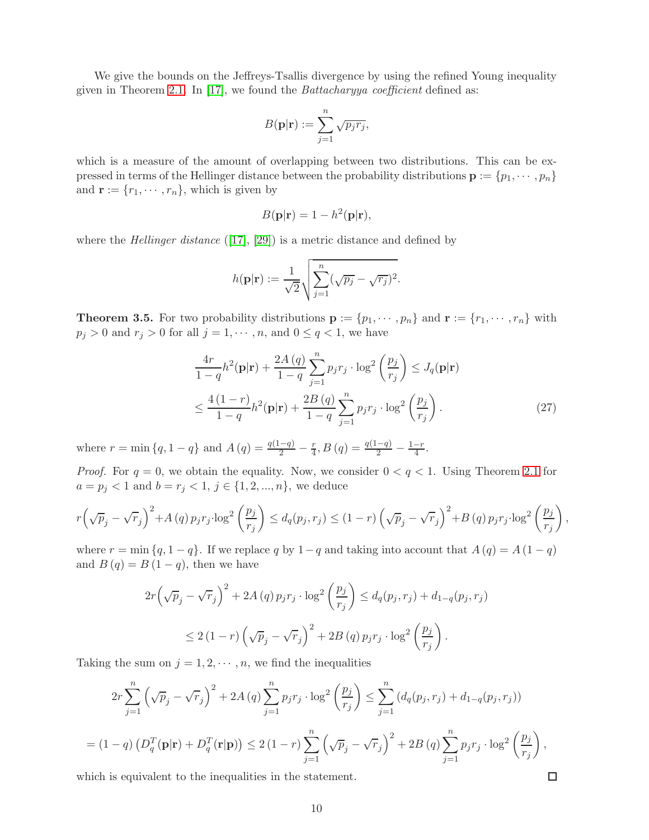We give the bounds on the Jeffreys-Tsallis divergence by using the refined Young inequality given in Theorem [2.1.](#page-2-2) In [\[17\]](#page-14-18), we found the *Battacharyya coefficient* defined as:

$$
B(\mathbf{p}|\mathbf{r}) := \sum_{j=1}^{n} \sqrt{p_j r_j},
$$

which is a measure of the amount of overlapping between two distributions. This can be expressed in terms of the Hellinger distance between the probability distributions  $\mathbf{p} := \{p_1, \dots, p_n\}$ and  $\mathbf{r} := \{r_1, \cdots, r_n\}$ , which is given by

$$
B(\mathbf{p}|\mathbf{r}) = 1 - h^2(\mathbf{p}|\mathbf{r}),
$$

where the *Hellinger distance* ([\[17\]](#page-14-18), [\[29\]](#page-15-2)) is a metric distance and defined by

$$
h(\mathbf{p}|\mathbf{r}) := \frac{1}{\sqrt{2}} \sqrt{\sum_{j=1}^{n} (\sqrt{p_j} - \sqrt{r_j})^2}.
$$

<span id="page-9-1"></span>**Theorem 3.5.** For two probability distributions  $\mathbf{p} := \{p_1, \dots, p_n\}$  and  $\mathbf{r} := \{r_1, \dots, r_n\}$  with  $p_j > 0$  and  $r_j > 0$  for all  $j = 1, \dots, n$ , and  $0 \le q < 1$ , we have

<span id="page-9-0"></span>
$$
\frac{4r}{1-q}h^2(\mathbf{p}|\mathbf{r}) + \frac{2A(q)}{1-q} \sum_{j=1}^n p_j r_j \cdot \log^2\left(\frac{p_j}{r_j}\right) \le J_q(\mathbf{p}|\mathbf{r})
$$
  

$$
\le \frac{4(1-r)}{1-q}h^2(\mathbf{p}|\mathbf{r}) + \frac{2B(q)}{1-q} \sum_{j=1}^n p_j r_j \cdot \log^2\left(\frac{p_j}{r_j}\right). \tag{27}
$$

where  $r = \min\{q, 1-q\}$  and  $A(q) = \frac{q(1-q)}{2} - \frac{r}{4}$ ,  $B(q) = \frac{q(1-q)}{2} - \frac{1-r}{4}$ .

*Proof.* For  $q = 0$ , we obtain the equality. Now, we consider  $0 < q < 1$ . Using Theorem [2.1](#page-2-2) for  $a = p_j < 1$  and  $b = r_j < 1, j \in \{1, 2, ..., n\}$ , we deduce

$$
r\left(\sqrt{p}_j - \sqrt{r}_j\right)^2 + A\left(q\right)p_jr_j\cdot\log^2\left(\frac{p_j}{r_j}\right) \le d_q(p_j, r_j) \le (1-r)\left(\sqrt{p}_j - \sqrt{r}_j\right)^2 + B\left(q\right)p_jr_j\cdot\log^2\left(\frac{p_j}{r_j}\right),
$$

where  $r = \min\{q, 1 - q\}$ . If we replace q by  $1 - q$  and taking into account that  $A(q) = A(1 - q)$ and  $B(q) = B(1 - q)$ , then we have

$$
2r\left(\sqrt{p}_j - \sqrt{r}_j\right)^2 + 2A(q) p_j r_j \cdot \log^2\left(\frac{p_j}{r_j}\right) \le d_q(p_j, r_j) + d_{1-q}(p_j, r_j)
$$
  

$$
\le 2(1-r)\left(\sqrt{p}_j - \sqrt{r}_j\right)^2 + 2B(q) p_j r_j \cdot \log^2\left(\frac{p_j}{r_j}\right).
$$

Taking the sum on  $j = 1, 2, \dots, n$ , we find the inequalities

$$
2r\sum_{j=1}^{n} (\sqrt{p}_j - \sqrt{r}_j)^2 + 2A(q)\sum_{j=1}^{n} p_j r_j \cdot \log^2\left(\frac{p_j}{r_j}\right) \le \sum_{j=1}^{n} (d_q(p_j, r_j) + d_{1-q}(p_j, r_j))
$$
  
=  $(1-q) \left(D_q^T(\mathbf{p}|\mathbf{r}) + D_q^T(\mathbf{r}|\mathbf{p})\right) \le 2(1-r)\sum_{j=1}^{n} (\sqrt{p}_j - \sqrt{r}_j)^2 + 2B(q)\sum_{j=1}^{n} p_j r_j \cdot \log^2\left(\frac{p_j}{r_j}\right),$ 

which is equivalent to the inequalities in the statement.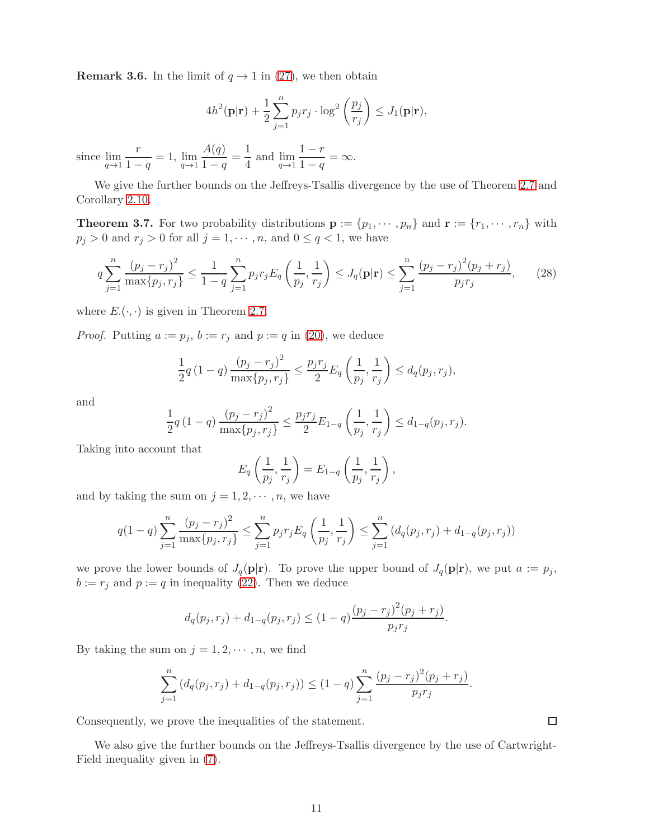**Remark 3.6.** In the limit of  $q \rightarrow 1$  in [\(27\)](#page-9-0), we then obtain

$$
4h^2(\mathbf{p}|\mathbf{r}) + \frac{1}{2}\sum_{j=1}^n p_j r_j \cdot \log^2\left(\frac{p_j}{r_j}\right) \le J_1(\mathbf{p}|\mathbf{r}),
$$

since  $\lim_{q \to 1}$ r  $\frac{1}{1-q} = 1, \lim_{q \to 1}$  $A(q)$  $\frac{A(q)}{1-q} = \frac{1}{4}$  $\frac{1}{4}$  and  $\lim_{q \to 1}$  $1-r$  $\frac{1}{1-q} = \infty.$ 

We give the further bounds on the Jeffreys-Tsallis divergence by the use of Theorem [2.7](#page-5-0) and Corollary [2.10.](#page-6-1)

<span id="page-10-0"></span>**Theorem 3.7.** For two probability distributions  $\mathbf{p} := \{p_1, \dots, p_n\}$  and  $\mathbf{r} := \{r_1, \dots, r_n\}$  with  $p_j > 0$  and  $r_j > 0$  for all  $j = 1, \dots, n$ , and  $0 \le q < 1$ , we have

$$
q\sum_{j=1}^{n}\frac{(p_j - r_j)^2}{\max\{p_j, r_j\}} \le \frac{1}{1 - q}\sum_{j=1}^{n}p_j r_j E_q\left(\frac{1}{p_j}, \frac{1}{r_j}\right) \le J_q(\mathbf{p}|\mathbf{r}) \le \sum_{j=1}^{n}\frac{(p_j - r_j)^2(p_j + r_j)}{p_j r_j},\qquad(28)
$$

where  $E_{\cdot}(\cdot, \cdot)$  is given in Theorem [2.7.](#page-5-0)

*Proof.* Putting  $a := p_j$ ,  $b := r_j$  and  $p := q$  in [\(20\)](#page-5-2), we deduce

$$
\frac{1}{2}q(1-q)\frac{(p_j-r_j)^2}{\max\{p_j,r_j\}} \le \frac{p_jr_j}{2}E_q\left(\frac{1}{p_j},\frac{1}{r_j}\right) \le d_q(p_j,r_j),
$$

and

$$
\frac{1}{2}q(1-q)\frac{(p_j-r_j)^2}{\max\{p_j,r_j\}} \le \frac{p_jr_j}{2}E_{1-q}\left(\frac{1}{p_j},\frac{1}{r_j}\right) \le d_{1-q}(p_j,r_j).
$$

Taking into account that

$$
E_q\left(\frac{1}{p_j},\frac{1}{r_j}\right) = E_{1-q}\left(\frac{1}{p_j},\frac{1}{r_j}\right),\,
$$

and by taking the sum on  $j = 1, 2, \dots, n$ , we have

$$
q(1-q)\sum_{j=1}^{n}\frac{(p_j-r_j)^2}{\max\{p_j,r_j\}} \le \sum_{j=1}^{n}p_jr_jE_q\left(\frac{1}{p_j},\frac{1}{r_j}\right) \le \sum_{j=1}^{n}\left(d_q(p_j,r_j) + d_{1-q}(p_j,r_j)\right)
$$

we prove the lower bounds of  $J_q(\mathbf{p}|\mathbf{r})$ . To prove the upper bound of  $J_q(\mathbf{p}|\mathbf{r})$ , we put  $a := p_j$ ,  $b := r_j$  and  $p := q$  in inequality [\(22\)](#page-6-2). Then we deduce

$$
d_q(p_j, r_j) + d_{1-q}(p_j, r_j) \le (1-q) \frac{(p_j - r_j)^2 (p_j + r_j)}{p_j r_j}.
$$

By taking the sum on  $j = 1, 2, \dots, n$ , we find

$$
\sum_{j=1}^{n} (d_q(p_j, r_j) + d_{1-q}(p_j, r_j)) \le (1-q) \sum_{j=1}^{n} \frac{(p_j - r_j)^2 (p_j + r_j)}{p_j r_j}.
$$

Consequently, we prove the inequalities of the statement.

We also give the further bounds on the Jeffreys-Tsallis divergence by the use of Cartwright-Field inequality given in [\(7\)](#page-1-3).

 $\Box$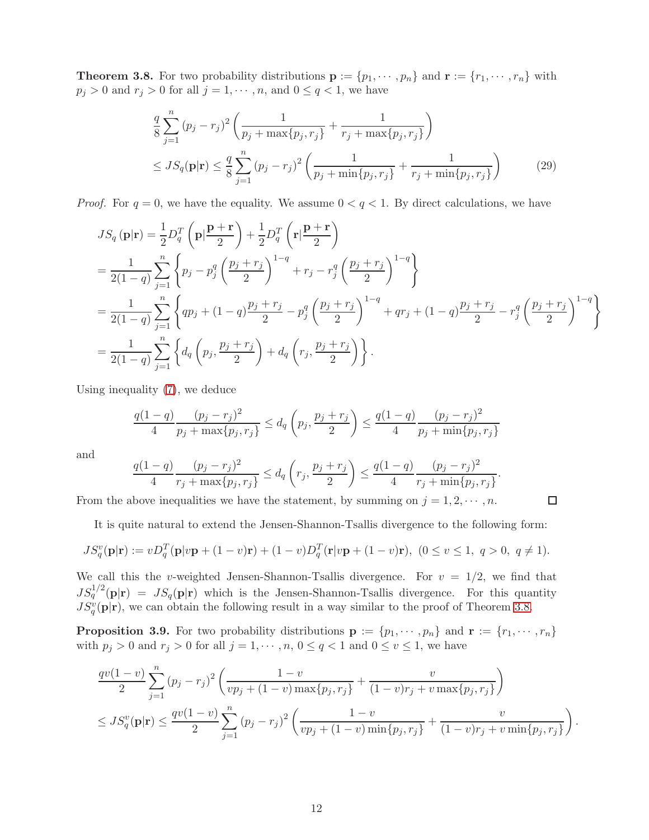<span id="page-11-0"></span>**Theorem 3.8.** For two probability distributions  $\mathbf{p} := \{p_1, \dots, p_n\}$  and  $\mathbf{r} := \{r_1, \dots, r_n\}$  with  $p_j > 0$  and  $r_j > 0$  for all  $j = 1, \dots, n$ , and  $0 \le q < 1$ , we have

$$
\frac{q}{8} \sum_{j=1}^{n} (p_j - r_j)^2 \left( \frac{1}{p_j + \max\{p_j, r_j\}} + \frac{1}{r_j + \max\{p_j, r_j\}} \right)
$$
\n
$$
\leq JS_q(\mathbf{p}|\mathbf{r}) \leq \frac{q}{8} \sum_{j=1}^{n} (p_j - r_j)^2 \left( \frac{1}{p_j + \min\{p_j, r_j\}} + \frac{1}{r_j + \min\{p_j, r_j\}} \right) \tag{29}
$$

*Proof.* For  $q = 0$ , we have the equality. We assume  $0 < q < 1$ . By direct calculations, we have

$$
JS_{q}(\mathbf{p}|\mathbf{r}) = \frac{1}{2}D_{q}^{T}\left(\mathbf{p}|\frac{\mathbf{p}+\mathbf{r}}{2}\right) + \frac{1}{2}D_{q}^{T}\left(\mathbf{r}|\frac{\mathbf{p}+\mathbf{r}}{2}\right)
$$
  
\n
$$
= \frac{1}{2(1-q)}\sum_{j=1}^{n}\left\{p_{j}-p_{j}^{q}\left(\frac{p_{j}+r_{j}}{2}\right)^{1-q} + r_{j}-r_{j}^{q}\left(\frac{p_{j}+r_{j}}{2}\right)^{1-q}\right\}
$$
  
\n
$$
= \frac{1}{2(1-q)}\sum_{j=1}^{n}\left\{qp_{j}+(1-q)\frac{p_{j}+r_{j}}{2}-p_{j}^{q}\left(\frac{p_{j}+r_{j}}{2}\right)^{1-q} + qr_{j}+(1-q)\frac{p_{j}+r_{j}}{2}-r_{j}^{q}\left(\frac{p_{j}+r_{j}}{2}\right)^{1-q}\right\}
$$
  
\n
$$
= \frac{1}{2(1-q)}\sum_{j=1}^{n}\left\{d_{q}\left(p_{j},\frac{p_{j}+r_{j}}{2}\right)+d_{q}\left(r_{j},\frac{p_{j}+r_{j}}{2}\right)\right\}.
$$

Using inequality [\(7\)](#page-1-3), we deduce

$$
\frac{q(1-q)}{4} \frac{(p_j - r_j)^2}{p_j + \max\{p_j, r_j\}} \le d_q\left(p_j, \frac{p_j + r_j}{2}\right) \le \frac{q(1-q)}{4} \frac{(p_j - r_j)^2}{p_j + \min\{p_j, r_j\}}
$$

and

$$
\frac{q(1-q)}{4}\frac{(p_j-r_j)^2}{r_j+\max\{p_j,r_j\}} \le d_q\left(r_j,\frac{p_j+r_j}{2}\right) \le \frac{q(1-q)}{4}\frac{(p_j-r_j)^2}{r_j+\min\{p_j,r_j\}}.
$$

From the above inequalities we have the statement, by summing on  $j = 1, 2, \dots, n$ .

$$
\qquad \qquad \Box
$$

It is quite natural to extend the Jensen-Shannon-Tsallis divergence to the following form:

$$
JS_q^v(\mathbf{p}|\mathbf{r}) := vD_q^T(\mathbf{p}|v\mathbf{p} + (1-v)\mathbf{r}) + (1-v)D_q^T(\mathbf{r}|v\mathbf{p} + (1-v)\mathbf{r}), \ (0 \le v \le 1, \ q > 0, \ q \ne 1).
$$

We call this the v-weighted Jensen-Shannon-Tsallis divergence. For  $v = 1/2$ , we find that  $JS_q^{1/2}(\mathbf{p}|\mathbf{r}) = JS_q(\mathbf{p}|\mathbf{r})$  which is the Jensen-Shannon-Tsallis divergence. For this quantity  $JS_q^v(\mathbf{p}|\mathbf{r})$ , we can obtain the following result in a way similar to the proof of Theorem [3.8.](#page-11-0)

**Proposition 3.9.** For two probability distributions  $\mathbf{p} := \{p_1, \dots, p_n\}$  and  $\mathbf{r} := \{r_1, \dots, r_n\}$ with  $p_j > 0$  and  $r_j > 0$  for all  $j = 1, \dots, n, 0 \le q < 1$  and  $0 \le v \le 1$ , we have

$$
\frac{qv(1-v)}{2}\sum_{j=1}^{n}(p_j-r_j)^2\left(\frac{1-v}{vp_j+(1-v)\max\{p_j,r_j\}}+\frac{v}{(1-v)r_j+v\max\{p_j,r_j\}}\right)
$$
  

$$
\leq JS_q^v(\mathbf{p}|\mathbf{r}) \leq \frac{qv(1-v)}{2}\sum_{j=1}^{n}(p_j-r_j)^2\left(\frac{1-v}{vp_j+(1-v)\min\{p_j,r_j\}}+\frac{v}{(1-v)r_j+v\min\{p_j,r_j\}}\right).
$$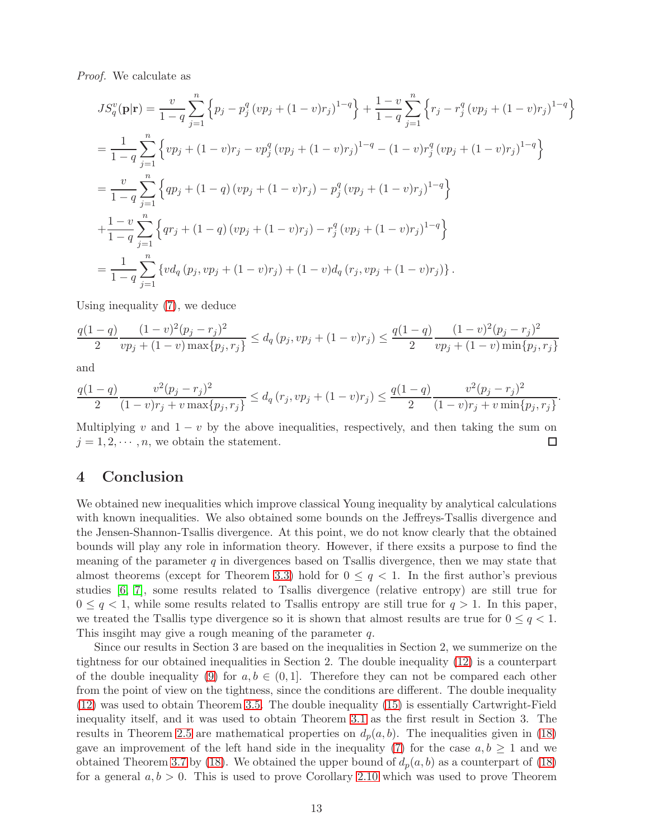Proof. We calculate as

$$
JS_q^v(\mathbf{p}|\mathbf{r}) = \frac{v}{1-q} \sum_{j=1}^n \left\{ p_j - p_j^q (vp_j + (1-v)r_j)^{1-q} \right\} + \frac{1-v}{1-q} \sum_{j=1}^n \left\{ r_j - r_j^q (vp_j + (1-v)r_j)^{1-q} \right\}
$$
  
= 
$$
\frac{1}{1-q} \sum_{j=1}^n \left\{ vp_j + (1-v)r_j - vp_j^q (vp_j + (1-v)r_j)^{1-q} - (1-v)r_j^q (vp_j + (1-v)r_j)^{1-q} \right\}
$$
  
= 
$$
\frac{v}{1-q} \sum_{j=1}^n \left\{ qp_j + (1-q) (vp_j + (1-v)r_j) - p_j^q (vp_j + (1-v)r_j)^{1-q} \right\}
$$
  
+ 
$$
\frac{1-v}{1-q} \sum_{j=1}^n \left\{ qr_j + (1-q) (vp_j + (1-v)r_j) - r_j^q (vp_j + (1-v)r_j)^{1-q} \right\}
$$
  
= 
$$
\frac{1}{1-q} \sum_{j=1}^n \left\{ vd_q(p_j, vp_j + (1-v)r_j) + (1-v)d_q(r_j, vp_j + (1-v)r_j) \right\}.
$$

Using inequality [\(7\)](#page-1-3), we deduce

$$
\frac{q(1-q)}{2} \frac{(1-v)^2(p_j - r_j)^2}{vp_j + (1-v) \max\{p_j, r_j\}} \le d_q(p_j, vp_j + (1-v)r_j) \le \frac{q(1-q)}{2} \frac{(1-v)^2(p_j - r_j)^2}{vp_j + (1-v) \min\{p_j, r_j\}}
$$

and

$$
\frac{q(1-q)}{2} \frac{v^2(p_j - r_j)^2}{(1-v)r_j + v \max\{p_j, r_j\}} \le d_q(r_j, vp_j + (1-v)r_j) \le \frac{q(1-q)}{2} \frac{v^2(p_j - r_j)^2}{(1-v)r_j + v \min\{p_j, r_j\}}
$$

.

Multiplying v and  $1 - v$  by the above inequalities, respectively, and then taking the sum on  $i = 1, 2, \dots, n$ , we obtain the statement.  $j = 1, 2, \dots, n$ , we obtain the statement.

#### 4 Conclusion

We obtained new inequalities which improve classical Young inequality by analytical calculations with known inequalities. We also obtained some bounds on the Jeffreys-Tsallis divergence and the Jensen-Shannon-Tsallis divergence. At this point, we do not know clearly that the obtained bounds will play any role in information theory. However, if there exsits a purpose to find the meaning of the parameter  $q$  in divergences based on Tsallis divergence, then we may state that almost theorems (except for Theorem [3.3\)](#page-8-2) hold for  $0 \leq q < 1$ . In the first author's previous studies [\[6,](#page-13-5) [7\]](#page-13-6), some results related to Tsallis divergence (relative entropy) are still true for  $0 \leq q < 1$ , while some results related to Tsallis entropy are still true for  $q > 1$ . In this paper, we treated the Tsallis type divergence so it is shown that almost results are true for  $0 \leq q < 1$ . This insgiht may give a rough meaning of the parameter q.

Since our results in Section 3 are based on the inequalities in Section 2, we summerize on the tightness for our obtained inequalities in Section 2. The double inequality [\(12\)](#page-2-3) is a counterpart of the double inequality [\(9\)](#page-2-0) for  $a, b \in (0, 1]$ . Therefore they can not be compared each other from the point of view on the tightness, since the conditions are different. The double inequality [\(12\)](#page-2-3) was used to obtain Theorem [3.5.](#page-9-1) The double inequality [\(15\)](#page-3-3) is essentially Cartwright-Field inequality itself, and it was used to obtain Theorem [3.1](#page-7-2) as the first result in Section 3. The results in Theorem [2.5](#page-4-0) are mathematical properties on  $d_p(a, b)$ . The inequalities given in [\(18\)](#page-5-1) gave an improvement of the left hand side in the inequality [\(7\)](#page-1-3) for the case  $a, b \ge 1$  and we obtained Theorem [3.7](#page-10-0) by [\(18\)](#page-5-1). We obtained the upper bound of  $d_p(a, b)$  as a counterpart of (18) for a general  $a, b > 0$ . This is used to prove Corollary [2.10](#page-6-1) which was used to prove Theorem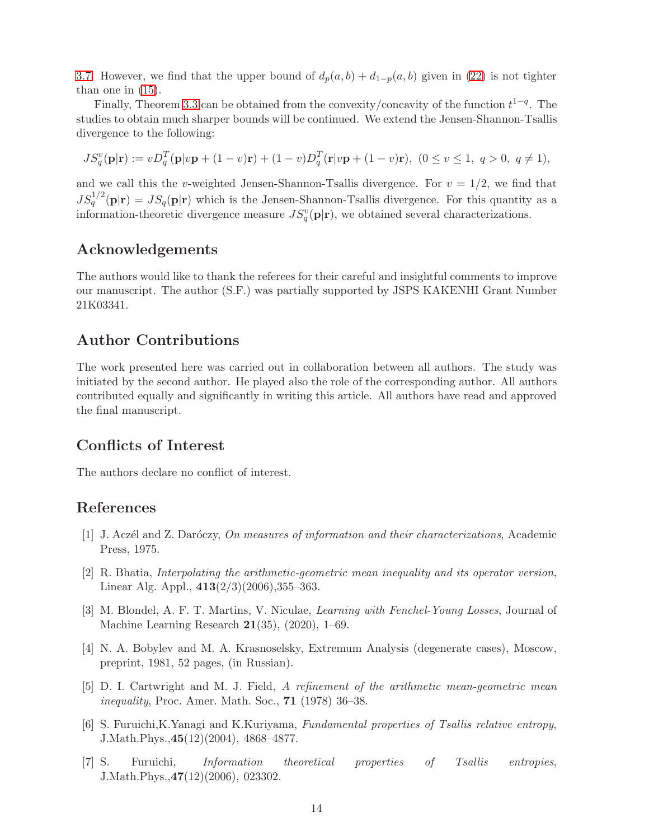[3.7.](#page-10-0) However, we find that the upper bound of  $d_p(a, b) + d_{1-p}(a, b)$  given in [\(22\)](#page-6-2) is not tighter than one in [\(15\)](#page-3-3).

Finally, Theorem [3.3](#page-8-2) can be obtained from the convexity/concavity of the function  $t^{1-q}$ . The studies to obtain much sharper bounds will be continued. We extend the Jensen-Shannon-Tsallis divergence to the following:

$$
JS_q^v(\mathbf{p}|\mathbf{r}) := vD_q^T(\mathbf{p}|v\mathbf{p} + (1-v)\mathbf{r}) + (1-v)D_q^T(\mathbf{r}|v\mathbf{p} + (1-v)\mathbf{r}), \ (0 \le v \le 1, \ q > 0, \ q \ne 1),
$$

and we call this the v-weighted Jensen-Shannon-Tsallis divergence. For  $v = 1/2$ , we find that  $JS_q^{1/2}(\mathbf{p}|\mathbf{r}) = JS_q(\mathbf{p}|\mathbf{r})$  which is the Jensen-Shannon-Tsallis divergence. For this quantity as a information-theoretic divergence measure  $JS_q^v(\mathbf{p}|\mathbf{r})$ , we obtained several characterizations.

### Acknowledgements

The authors would like to thank the referees for their careful and insightful comments to improve our manuscript. The author (S.F.) was partially supported by JSPS KAKENHI Grant Number 21K03341.

# Author Contributions

The work presented here was carried out in collaboration between all authors. The study was initiated by the second author. He played also the role of the corresponding author. All authors contributed equally and significantly in writing this article. All authors have read and approved the final manuscript.

# Conflicts of Interest

The authors declare no conflict of interest.

# <span id="page-13-4"></span>References

- $[1]$  J. Aczél and Z. Daróczy, On measures of information and their characterizations, Academic Press, 1975.
- <span id="page-13-1"></span>[2] R. Bhatia, Interpolating the arithmetic-geometric mean inequality and its operator version, Linear Alg. Appl.,  $413(2/3)(2006)$ ,  $355-363$ .
- <span id="page-13-0"></span>[3] M. Blondel, A. F. T. Martins, V. Niculae, Learning with Fenchel-Young Losses, Journal of Machine Learning Research 21(35), (2020), 1–69.
- <span id="page-13-3"></span>[4] N. A. Bobylev and M. A. Krasnoselsky, Extremum Analysis (degenerate cases), Moscow, preprint, 1981, 52 pages, (in Russian).
- <span id="page-13-2"></span>[5] D. I. Cartwright and M. J. Field, A refinement of the arithmetic mean-geometric mean inequality, Proc. Amer. Math. Soc., **71** (1978) 36-38.
- <span id="page-13-5"></span>[6] S. Furuichi,K.Yanagi and K.Kuriyama, Fundamental properties of Tsallis relative entropy, J.Math.Phys.,45(12)(2004), 4868–4877.
- <span id="page-13-6"></span>[7] S. Furuichi, Information theoretical properties of Tsallis entropies, J.Math.Phys.,47(12)(2006), 023302.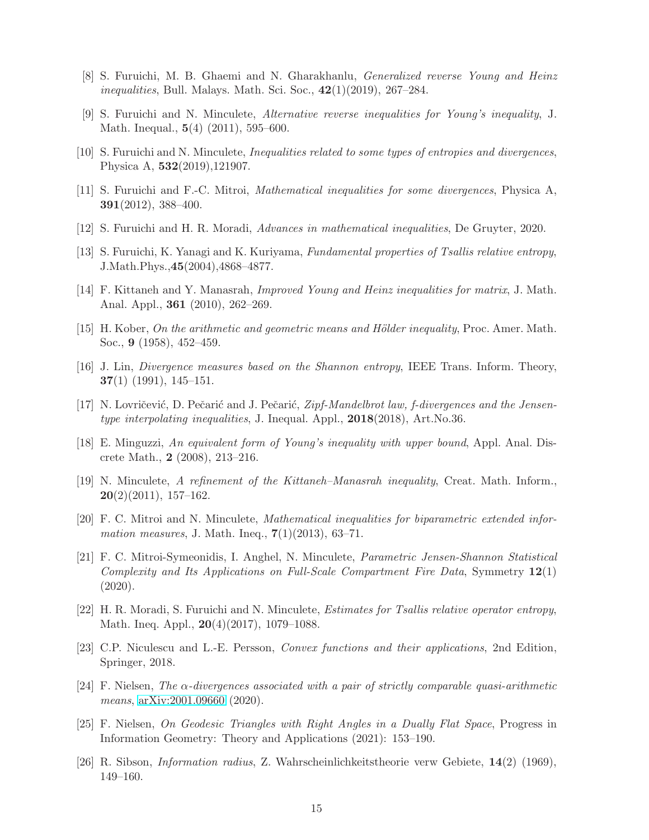- <span id="page-14-7"></span><span id="page-14-3"></span>[8] S. Furuichi, M. B. Ghaemi and N. Gharakhanlu, Generalized reverse Young and Heinz *inequalities*, Bull. Malays. Math. Sci. Soc.,  $42(1)(2019)$ ,  $267-284$ .
- <span id="page-14-14"></span>[9] S. Furuichi and N. Minculete, Alternative reverse inequalities for Young's inequality, J. Math. Inequal., 5(4) (2011), 595–600.
- <span id="page-14-15"></span>[10] S. Furuichi and N. Minculete, Inequalities related to some types of entropies and divergences, Physica A, 532(2019),121907.
- <span id="page-14-8"></span>[11] S. Furuichi and F.-C. Mitroi, Mathematical inequalities for some divergences, Physica A, 391(2012), 388–400.
- <span id="page-14-13"></span>[12] S. Furuichi and H. R. Moradi, Advances in mathematical inequalities, De Gruyter, 2020.
- <span id="page-14-5"></span>[13] S. Furuichi, K. Yanagi and K. Kuriyama, Fundamental properties of Tsallis relative entropy, J.Math.Phys.,45(2004),4868–4877.
- <span id="page-14-4"></span>[14] F. Kittaneh and Y. Manasrah, Improved Young and Heinz inequalities for matrix, J. Math. Anal. Appl., 361 (2010), 262–269.
- <span id="page-14-9"></span>[15] H. Kober, On the arithmetic and geometric means and Hölder inequality, Proc. Amer. Math. Soc., 9 (1958), 452–459.
- <span id="page-14-18"></span>[16] J. Lin, Divergence measures based on the Shannon entropy, IEEE Trans. Inform. Theory,  $37(1)$  (1991), 145-151.
- <span id="page-14-1"></span>[17] N. Lovričević, D. Pečarić and J. Pečarić,  $Zipf-Mandelbrot law$ , f-divergences and the Jensentype interpolating inequalities, J. Inequal. Appl., 2018(2018), Art.No.36.
- [18] E. Minguzzi, An equivalent form of Young's inequality with upper bound, Appl. Anal. Discrete Math., 2 (2008), 213–216.
- <span id="page-14-6"></span>[19] N. Minculete, A refinement of the Kittaneh–Manasrah inequality, Creat. Math. Inform.,  $20(2)(2011), 157-162.$
- <span id="page-14-16"></span>[20] F. C. Mitroi and N. Minculete, Mathematical inequalities for biparametric extended infor*mation measures*, J. Math. Ineq.,  $7(1)(2013)$ , 63–71.
- <span id="page-14-11"></span>[21] F. C. Mitroi-Symeonidis, I. Anghel, N. Minculete, Parametric Jensen-Shannon Statistical Complexity and Its Applications on Full-Scale Compartment Fire Data, Symmetry  $12(1)$ (2020).
- <span id="page-14-17"></span>[22] H. R. Moradi, S. Furuichi and N. Minculete, Estimates for Tsallis relative operator entropy, Math. Ineq. Appl., 20(4)(2017), 1079–1088.
- <span id="page-14-12"></span>[23] C.P. Niculescu and L.-E. Persson, Convex functions and their applications, 2nd Edition, Springer, 2018.
- <span id="page-14-2"></span>[24] F. Nielsen, The  $\alpha$ -divergences associated with a pair of strictly comparable quasi-arithmetic means, [arXiv:2001.09660](http://arxiv.org/abs/2001.09660) (2020).
- <span id="page-14-0"></span>[25] F. Nielsen, On Geodesic Triangles with Right Angles in a Dually Flat Space, Progress in Information Geometry: Theory and Applications (2021): 153–190.
- <span id="page-14-10"></span>[26] R. Sibson, Information radius, Z. Wahrscheinlichkeitstheorie verw Gebiete, 14(2) (1969), 149–160.